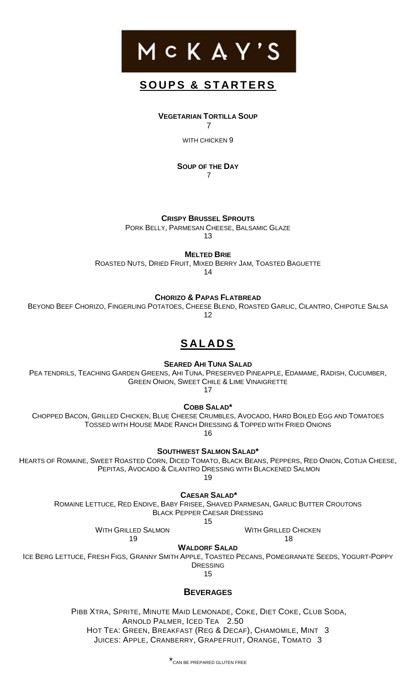

### **S O U P S & S T A R T E R S**

**VEGETARIAN TORTILLA SOUP**

7

WITH CHICKEN 9

**SOUP OF THE DAY** 7

**CRISPY BRUSSEL SPROUTS**

PORK BELLY, PARMESAN CHEESE, BALSAMIC GLAZE

13

**MELTED BRIE**

ROASTED NUTS, DRIED FRUIT, MIXED BERRY JAM, TOASTED BAGUETTE

14

**CHORIZO & PAPAS FLATBREAD**

BEYOND BEEF CHORIZO, FINGERLING POTATOES, CHEESE BLEND, ROASTED GARLIC, CILANTRO, CHIPOTLE SALSA 12

# **S AL AD S**

**SEARED AHI TUNA SALAD**

PEA TENDRILS, TEACHING GARDEN GREENS, AHI TUNA, PRESERVED PINEAPPLE, EDAMAME, RADISH, CUCUMBER, GREEN ONION, SWEET CHILE & LIME VINAIGRETTE

17

**COBB SALAD\***

CHOPPED BACON, GRILLED CHICKEN, BLUE CHEESE CRUMBLES, AVOCADO, HARD BOILED EGG AND TOMATOES TOSSED WITH HOUSE MADE RANCH DRESSING & TOPPED WITH FRIED ONIONS 16

**SOUTHWEST SALMON SALAD\***

HEARTS OF ROMAINE, SWEET ROASTED CORN, DICED TOMATO, BLACK BEANS, PEPPERS, RED ONION, COTIJA CHEESE, PEPITAS, AVOCADO & CILANTRO DRESSING WITH BLACKENED SALMON

19

**CAESAR SALAD\***

ROMAINE LETTUCE, RED ENDIVE, BABY FRISEE, SHAVED PARMESAN, GARLIC BUTTER CROUTONS BLACK PEPPER CAESAR DRESSING

15

WITH GRILLED SALMON 19

WITH GRILLED CHICKEN

18

**WALDORF SALAD**

ICE BERG LETTUCE, FRESH FIGS, GRANNY SMITH APPLE, TOASTED PECANS, POMEGRANATE SEEDS, YOGURT-POPPY DRESSING

15

### **BEVERAGES**

PIBB XTRA, SPRITE, MINUTE MAID LEMONADE, COKE, DIET COKE, CLUB SODA, ARNOLD PALMER, ICED TEA 2.50 HOT TEA: GREEN, BREAKFAST (REG & DECAF), CHAMOMILE, MINT 3 JUICES: APPLE, CRANBERRY, GRAPEFRUIT, ORANGE, TOMATO 3

\*CAN BE PREPARED GLUTEN FREE